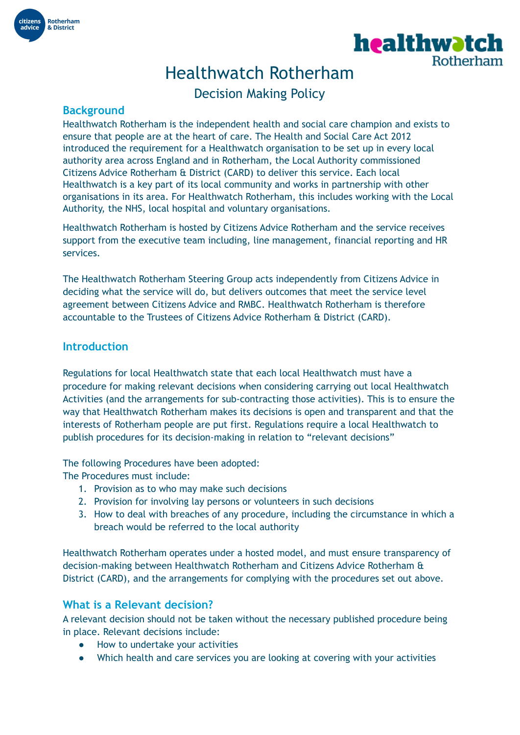



# Healthwatch Rotherham

Decision Making Policy

## **Background**

Healthwatch Rotherham is the independent health and social care champion and exists to ensure that people are at the heart of care. The Health and Social Care Act 2012 introduced the requirement for a Healthwatch organisation to be set up in every local authority area across England and in Rotherham, the Local Authority commissioned Citizens Advice Rotherham & District (CARD) to deliver this service. Each local Healthwatch is a key part of its local community and works in partnership with other organisations in its area. For Healthwatch Rotherham, this includes working with the Local Authority, the NHS, local hospital and voluntary organisations.

Healthwatch Rotherham is hosted by Citizens Advice Rotherham and the service receives support from the executive team including, line management, financial reporting and HR services.

The Healthwatch Rotherham Steering Group acts independently from Citizens Advice in deciding what the service will do, but delivers outcomes that meet the service level agreement between Citizens Advice and RMBC. Healthwatch Rotherham is therefore accountable to the Trustees of Citizens Advice Rotherham & District (CARD).

### **Introduction**

Regulations for local Healthwatch state that each local Healthwatch must have a procedure for making relevant decisions when considering carrying out local Healthwatch Activities (and the arrangements for sub-contracting those activities). This is to ensure the way that Healthwatch Rotherham makes its decisions is open and transparent and that the interests of Rotherham people are put first. Regulations require a local Healthwatch to publish procedures for its decision-making in relation to "relevant decisions"

The following Procedures have been adopted:

The Procedures must include:

- 1. Provision as to who may make such decisions
- 2. Provision for involving lay persons or volunteers in such decisions
- 3. How to deal with breaches of any procedure, including the circumstance in which a breach would be referred to the local authority

Healthwatch Rotherham operates under a hosted model, and must ensure transparency of decision-making between Healthwatch Rotherham and Citizens Advice Rotherham & District (CARD), and the arrangements for complying with the procedures set out above.

# **What is a Relevant decision?**

A relevant decision should not be taken without the necessary published procedure being in place. Relevant decisions include:

- How to undertake your activities
- Which health and care services you are looking at covering with your activities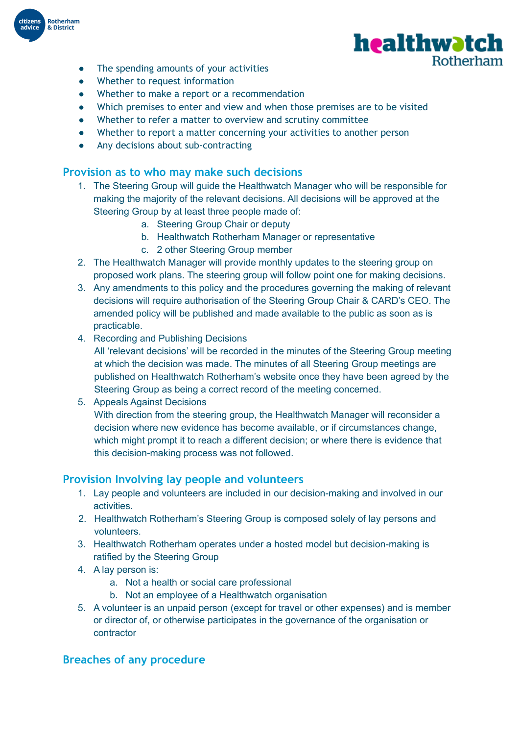

- The spending amounts of your activities
- Whether to request information
- Whether to make a report or a recommendation
- Which premises to enter and view and when those premises are to be visited

healthwətch

Rotherham

- Whether to refer a matter to overview and scrutiny committee
- Whether to report a matter concerning your activities to another person
- Any decisions about sub-contracting

### **Provision as to who may make such decisions**

- 1. The Steering Group will guide the Healthwatch Manager who will be responsible for making the majority of the relevant decisions. All decisions will be approved at the Steering Group by at least three people made of:
	- a. Steering Group Chair or deputy
	- b. Healthwatch Rotherham Manager or representative
	- c. 2 other Steering Group member
- 2. The Healthwatch Manager will provide monthly updates to the steering group on proposed work plans. The steering group will follow point one for making decisions.
- 3. Any amendments to this policy and the procedures governing the making of relevant decisions will require authorisation of the Steering Group Chair & CARD's CEO. The amended policy will be published and made available to the public as soon as is practicable.
- 4. Recording and Publishing Decisions
	- All 'relevant decisions' will be recorded in the minutes of the Steering Group meeting at which the decision was made. The minutes of all Steering Group meetings are published on Healthwatch Rotherham's website once they have been agreed by the Steering Group as being a correct record of the meeting concerned.
- 5. Appeals Against Decisions

With direction from the steering group, the Healthwatch Manager will reconsider a decision where new evidence has become available, or if circumstances change, which might prompt it to reach a different decision; or where there is evidence that this decision-making process was not followed.

#### **Provision Involving lay people and volunteers**

- 1. Lay people and volunteers are included in our decision-making and involved in our activities.
- 2. Healthwatch Rotherham's Steering Group is composed solely of lay persons and volunteers.
- 3. Healthwatch Rotherham operates under a hosted model but decision-making is ratified by the Steering Group
- 4. A lay person is:
	- a. Not a health or social care professional
	- b. Not an employee of a Healthwatch organisation
- 5. A volunteer is an unpaid person (except for travel or other expenses) and is member or director of, or otherwise participates in the governance of the organisation or contractor

# **Breaches of any procedure**